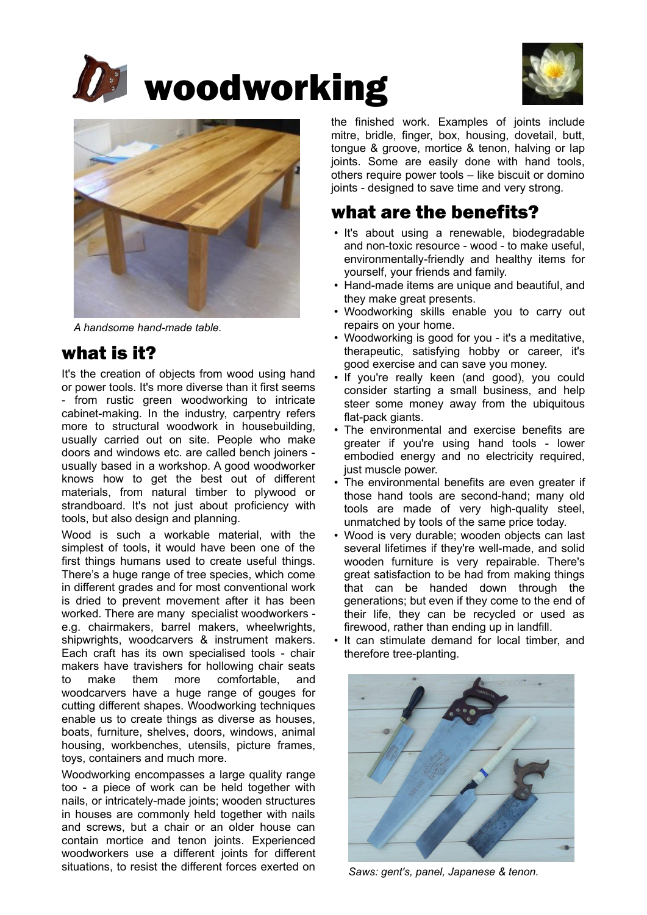





*A handsome hand-made table.*

## what is it?

It's the creation of objects from wood using hand or power tools. It's more diverse than it first seems - from rustic green woodworking to intricate cabinet-making. In the industry, carpentry refers more to structural woodwork in housebuilding, usually carried out on site. People who make doors and windows etc. are called bench joiners usually based in a workshop. A good woodworker knows how to get the best out of different materials, from natural timber to plywood or strandboard. It's not just about proficiency with tools, but also design and planning.

Wood is such a workable material, with the simplest of tools, it would have been one of the first things humans used to create useful things. There's a huge range of tree species, which come in different grades and for most conventional work is dried to prevent movement after it has been worked. There are many specialist woodworkers e.g. chairmakers, barrel makers, wheelwrights, shipwrights, woodcarvers & instrument makers. Each craft has its own specialised tools - chair makers have travishers for hollowing chair seats to make them more comfortable, and woodcarvers have a huge range of gouges for cutting different shapes. Woodworking techniques enable us to create things as diverse as houses, boats, furniture, shelves, doors, windows, animal housing, workbenches, utensils, picture frames, toys, containers and much more.

Woodworking encompasses a large quality range too - a piece of work can be held together with nails, or intricately-made joints; wooden structures in houses are commonly held together with nails and screws, but a chair or an older house can contain mortice and tenon joints. Experienced woodworkers use a different joints for different situations, to resist the different forces exerted on

the finished work. Examples of joints include mitre, bridle, finger, box, housing, dovetail, butt, tongue & groove, mortice & tenon, halving or lap joints. Some are easily done with hand tools, others require power tools – like biscuit or domino joints - designed to save time and very strong.

## what are the benefits?

- It's about using a renewable, biodegradable and non-toxic resource - wood - to make useful, environmentally-friendly and healthy items for yourself, your friends and family.
- Hand-made items are unique and beautiful, and they make great presents.
- Woodworking skills enable you to carry out repairs on your home.
- Woodworking is good for you it's a meditative, therapeutic, satisfying hobby or career, it's good exercise and can save you money.
- If you're really keen (and good), you could consider starting a small business, and help steer some money away from the ubiquitous flat-pack giants.
- The environmental and exercise benefits are greater if you're using hand tools - lower embodied energy and no electricity required, just muscle power.
- The environmental benefits are even greater if those hand tools are second-hand; many old tools are made of very high-quality steel, unmatched by tools of the same price today.
- Wood is very durable; wooden objects can last several lifetimes if they're well-made, and solid wooden furniture is very repairable. There's great satisfaction to be had from making things that can be handed down through the generations; but even if they come to the end of their life, they can be recycled or used as firewood, rather than ending up in landfill.
- It can stimulate demand for local timber, and therefore tree-planting.



*Saws: gent's, panel, Japanese & tenon.*